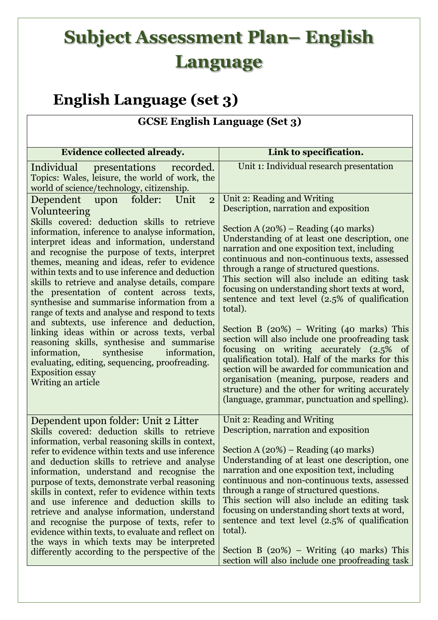## **Subject Assessment Plan– English Language**

## **English Language (set 3)**

| <b>GCSE English Language (Set 3)</b>                                                                                                                                                                                                                                                                                                                                                                                                                                                                                                                                                                                                                                                                                                                                                                                                                                       |                                                                                                                                                                                                                                                                                                                                                                                                                                                                                                                                                                                                                                                                                                                                                                                                                                                                                                           |  |
|----------------------------------------------------------------------------------------------------------------------------------------------------------------------------------------------------------------------------------------------------------------------------------------------------------------------------------------------------------------------------------------------------------------------------------------------------------------------------------------------------------------------------------------------------------------------------------------------------------------------------------------------------------------------------------------------------------------------------------------------------------------------------------------------------------------------------------------------------------------------------|-----------------------------------------------------------------------------------------------------------------------------------------------------------------------------------------------------------------------------------------------------------------------------------------------------------------------------------------------------------------------------------------------------------------------------------------------------------------------------------------------------------------------------------------------------------------------------------------------------------------------------------------------------------------------------------------------------------------------------------------------------------------------------------------------------------------------------------------------------------------------------------------------------------|--|
| <b>Evidence collected already.</b>                                                                                                                                                                                                                                                                                                                                                                                                                                                                                                                                                                                                                                                                                                                                                                                                                                         | Link to specification.                                                                                                                                                                                                                                                                                                                                                                                                                                                                                                                                                                                                                                                                                                                                                                                                                                                                                    |  |
| Individual<br>presentations<br>recorded.<br>Topics: Wales, leisure, the world of work, the<br>world of science/technology, citizenship.                                                                                                                                                                                                                                                                                                                                                                                                                                                                                                                                                                                                                                                                                                                                    | Unit 1: Individual research presentation                                                                                                                                                                                                                                                                                                                                                                                                                                                                                                                                                                                                                                                                                                                                                                                                                                                                  |  |
| Dependent<br>folder:<br>Unit<br>$\overline{2}$<br>upon<br>Volunteering<br>Skills covered: deduction skills to retrieve<br>information, inference to analyse information,<br>interpret ideas and information, understand<br>and recognise the purpose of texts, interpret<br>themes, meaning and ideas, refer to evidence<br>within texts and to use inference and deduction<br>skills to retrieve and analyse details, compare<br>the presentation of content across texts,<br>synthesise and summarise information from a<br>range of texts and analyse and respond to texts<br>and subtexts, use inference and deduction,<br>linking ideas within or across texts, verbal<br>reasoning skills, synthesise and summarise<br>synthesise<br>information,<br>information,<br>evaluating, editing, sequencing, proofreading.<br><b>Exposition essay</b><br>Writing an article | Unit 2: Reading and Writing<br>Description, narration and exposition<br>Section A $(20\%)$ – Reading $(40 \text{ marks})$<br>Understanding of at least one description, one<br>narration and one exposition text, including<br>continuous and non-continuous texts, assessed<br>through a range of structured questions.<br>This section will also include an editing task<br>focusing on understanding short texts at word,<br>sentence and text level (2.5% of qualification<br>total).<br>Section B $(20%)$ – Writing $(40 \text{ marks})$ This<br>section will also include one proofreading task<br>focusing on writing accurately (2.5% of<br>qualification total). Half of the marks for this<br>section will be awarded for communication and<br>organisation (meaning, purpose, readers and<br>structure) and the other for writing accurately<br>(language, grammar, punctuation and spelling). |  |
| Dependent upon folder: Unit 2 Litter<br>Skills covered: deduction skills to retrieve<br>information, verbal reasoning skills in context,<br>refer to evidence within texts and use inference<br>and deduction skills to retrieve and analyse<br>information, understand and recognise the<br>purpose of texts, demonstrate verbal reasoning<br>skills in context, refer to evidence within texts<br>and use inference and deduction skills to<br>retrieve and analyse information, understand<br>and recognise the purpose of texts, refer to<br>evidence within texts, to evaluate and reflect on<br>the ways in which texts may be interpreted<br>differently according to the perspective of the                                                                                                                                                                        | Unit 2: Reading and Writing<br>Description, narration and exposition<br>Section A $(20\%)$ – Reading $(40 \text{ marks})$<br>Understanding of at least one description, one<br>narration and one exposition text, including<br>continuous and non-continuous texts, assessed<br>through a range of structured questions.<br>This section will also include an editing task<br>focusing on understanding short texts at word,<br>sentence and text level $(2.5\% \text{ of }$ qualification<br>total).<br>Section B $(20%)$ – Writing $(40 \text{ marks})$ This<br>section will also include one proofreading task                                                                                                                                                                                                                                                                                         |  |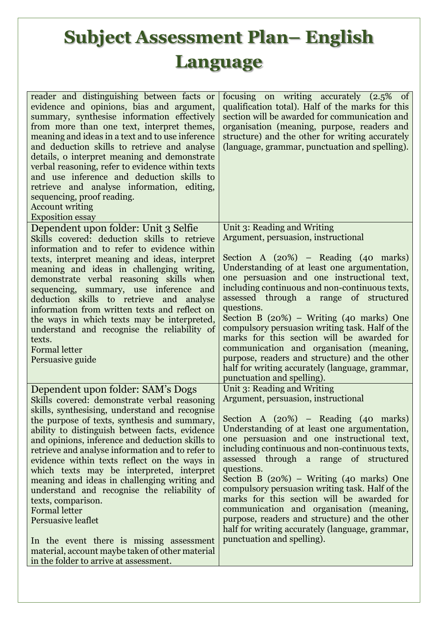## **Subject Assessment Plan– English Language**

| reader and distinguishing between facts or<br>evidence and opinions, bias and argument,<br>summary, synthesise information effectively<br>from more than one text, interpret themes,<br>meaning and ideas in a text and to use inference<br>and deduction skills to retrieve and analyse<br>details, o interpret meaning and demonstrate<br>verbal reasoning, refer to evidence within texts<br>and use inference and deduction skills to<br>retrieve and analyse information, editing,<br>sequencing, proof reading.<br><b>Account writing</b><br><b>Exposition essay</b>                                   | focusing on writing accurately (2.5% of<br>qualification total). Half of the marks for this<br>section will be awarded for communication and<br>organisation (meaning, purpose, readers and<br>structure) and the other for writing accurately<br>(language, grammar, punctuation and spelling).                                                                                                                                                                                                                                                                                                                                                                       |
|--------------------------------------------------------------------------------------------------------------------------------------------------------------------------------------------------------------------------------------------------------------------------------------------------------------------------------------------------------------------------------------------------------------------------------------------------------------------------------------------------------------------------------------------------------------------------------------------------------------|------------------------------------------------------------------------------------------------------------------------------------------------------------------------------------------------------------------------------------------------------------------------------------------------------------------------------------------------------------------------------------------------------------------------------------------------------------------------------------------------------------------------------------------------------------------------------------------------------------------------------------------------------------------------|
| Dependent upon folder: Unit 3 Selfie<br>Skills covered: deduction skills to retrieve                                                                                                                                                                                                                                                                                                                                                                                                                                                                                                                         | Unit 3: Reading and Writing<br>Argument, persuasion, instructional                                                                                                                                                                                                                                                                                                                                                                                                                                                                                                                                                                                                     |
| information and to refer to evidence within<br>texts, interpret meaning and ideas, interpret<br>meaning and ideas in challenging writing,<br>demonstrate verbal reasoning skills when<br>sequencing, summary, use inference and<br>deduction skills to retrieve and analyse<br>information from written texts and reflect on<br>the ways in which texts may be interpreted,<br>understand and recognise the reliability of<br>texts.<br><b>Formal letter</b><br>Persuasive guide                                                                                                                             | Section A (20%) – Reading (40 marks)<br>Understanding of at least one argumentation,<br>one persuasion and one instructional text,<br>including continuous and non-continuous texts,<br>assessed through a range of structured<br>questions.<br>Section B (20%) – Writing (40 marks) One<br>compulsory persuasion writing task. Half of the<br>marks for this section will be awarded for<br>communication and organisation (meaning,<br>purpose, readers and structure) and the other<br>half for writing accurately (language, grammar,<br>punctuation and spelling).                                                                                                |
| Dependent upon folder: SAM's Dogs<br>Skills covered: demonstrate verbal reasoning<br>skills, synthesising, understand and recognise<br>the purpose of texts, synthesis and summary,<br>ability to distinguish between facts, evidence<br>and opinions, inference and deduction skills to<br>retrieve and analyse information and to refer to<br>evidence within texts reflect on the ways in<br>which texts may be interpreted, interpret<br>meaning and ideas in challenging writing and<br>understand and recognise the reliability of<br>texts, comparison.<br><b>Formal letter</b><br>Persuasive leaflet | Unit 3: Reading and Writing<br>Argument, persuasion, instructional<br>Section A $(20\%)$ – Reading $(40 \text{ marks})$<br>Understanding of at least one argumentation,<br>one persuasion and one instructional text,<br>including continuous and non-continuous texts,<br>assessed through a range of structured<br>questions.<br>Section B $(20%)$ – Writing $(40 \text{ marks})$ One<br>compulsory persuasion writing task. Half of the<br>marks for this section will be awarded for<br>communication and organisation (meaning,<br>purpose, readers and structure) and the other<br>half for writing accurately (language, grammar,<br>punctuation and spelling). |
| In the event there is missing assessment<br>material, account maybe taken of other material<br>in the folder to arrive at assessment.                                                                                                                                                                                                                                                                                                                                                                                                                                                                        |                                                                                                                                                                                                                                                                                                                                                                                                                                                                                                                                                                                                                                                                        |